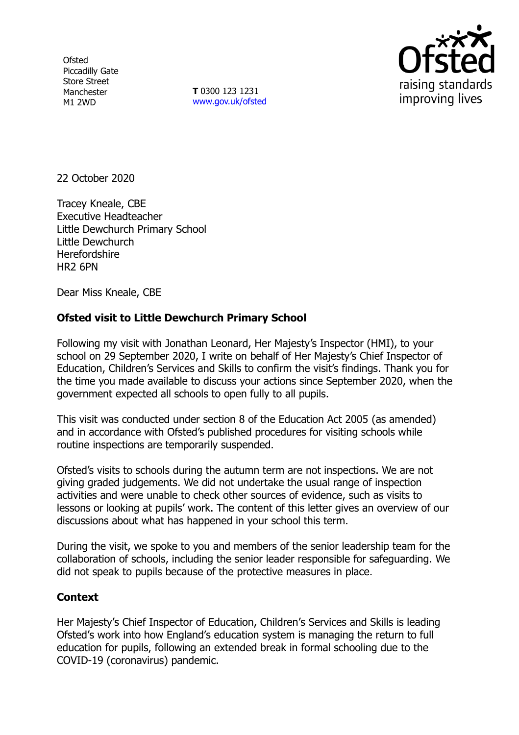**Ofsted** Piccadilly Gate Store Street Manchester M1 2WD

**T** 0300 123 1231 [www.gov.uk/ofsted](http://www.gov.uk/ofsted)



22 October 2020

Tracey Kneale, CBE Executive Headteacher Little Dewchurch Primary School Little Dewchurch **Herefordshire** HR2 6PN

Dear Miss Kneale, CBE

## **Ofsted visit to Little Dewchurch Primary School**

Following my visit with Jonathan Leonard, Her Majesty's Inspector (HMI), to your school on 29 September 2020, I write on behalf of Her Majesty's Chief Inspector of Education, Children's Services and Skills to confirm the visit's findings. Thank you for the time you made available to discuss your actions since September 2020, when the government expected all schools to open fully to all pupils.

This visit was conducted under section 8 of the Education Act 2005 (as amended) and in accordance with Ofsted's published procedures for visiting schools while routine inspections are temporarily suspended.

Ofsted's visits to schools during the autumn term are not inspections. We are not giving graded judgements. We did not undertake the usual range of inspection activities and were unable to check other sources of evidence, such as visits to lessons or looking at pupils' work. The content of this letter gives an overview of our discussions about what has happened in your school this term.

During the visit, we spoke to you and members of the senior leadership team for the collaboration of schools, including the senior leader responsible for safeguarding. We did not speak to pupils because of the protective measures in place.

## **Context**

Her Majesty's Chief Inspector of Education, Children's Services and Skills is leading Ofsted's work into how England's education system is managing the return to full education for pupils, following an extended break in formal schooling due to the COVID-19 (coronavirus) pandemic.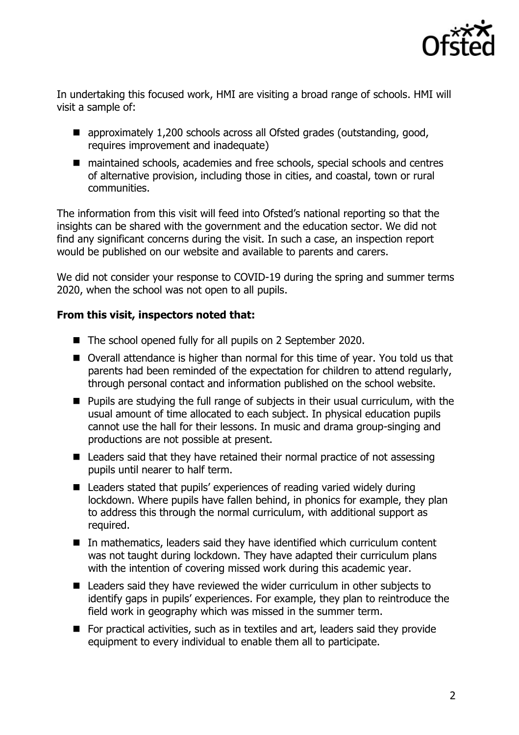

In undertaking this focused work, HMI are visiting a broad range of schools. HMI will visit a sample of:

- approximately 1,200 schools across all Ofsted grades (outstanding, good, requires improvement and inadequate)
- maintained schools, academies and free schools, special schools and centres of alternative provision, including those in cities, and coastal, town or rural communities.

The information from this visit will feed into Ofsted's national reporting so that the insights can be shared with the government and the education sector. We did not find any significant concerns during the visit. In such a case, an inspection report would be published on our website and available to parents and carers.

We did not consider your response to COVID-19 during the spring and summer terms 2020, when the school was not open to all pupils.

## **From this visit, inspectors noted that:**

- The school opened fully for all pupils on 2 September 2020.
- Overall attendance is higher than normal for this time of year. You told us that parents had been reminded of the expectation for children to attend regularly, through personal contact and information published on the school website.
- $\blacksquare$  Pupils are studying the full range of subjects in their usual curriculum, with the usual amount of time allocated to each subject. In physical education pupils cannot use the hall for their lessons. In music and drama group-singing and productions are not possible at present.
- Leaders said that they have retained their normal practice of not assessing pupils until nearer to half term.
- Leaders stated that pupils' experiences of reading varied widely during lockdown. Where pupils have fallen behind, in phonics for example, they plan to address this through the normal curriculum, with additional support as required.
- In mathematics, leaders said they have identified which curriculum content was not taught during lockdown. They have adapted their curriculum plans with the intention of covering missed work during this academic year.
- Leaders said they have reviewed the wider curriculum in other subjects to identify gaps in pupils' experiences. For example, they plan to reintroduce the field work in geography which was missed in the summer term.
- For practical activities, such as in textiles and art, leaders said they provide equipment to every individual to enable them all to participate.